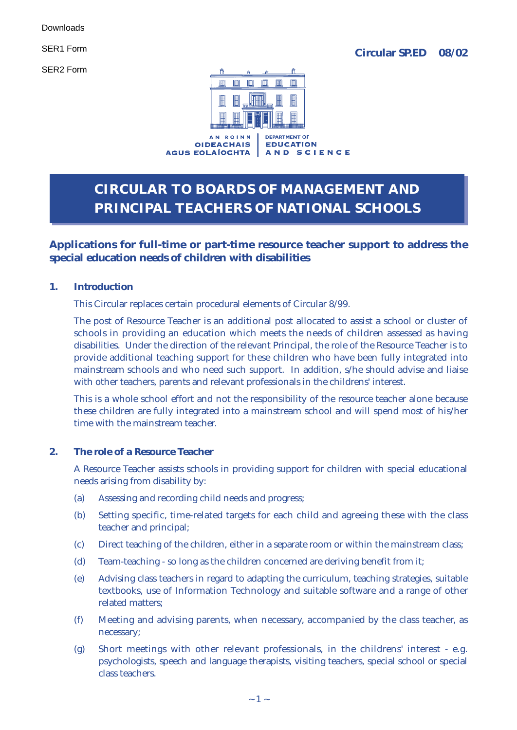SER2 Form



**OIDEACHAIS AGUS EOLAÍOCHTA** 

**EDUCATION** AND SCIENCE

## **CIRCULAR TO BOARDS OF MANAGEMENT AND PRINCIPAL TEACHERS OF NATIONAL SCHOOLS**

### **Applications for full-time or part-time resource teacher support to address the special education needs of children with disabilities**

### **1. Introduction**

This Circular replaces certain procedural elements of Circular 8/99.

The post of Resource Teacher is an additional post allocated to assist a school or cluster of schools in providing an education which meets the needs of children assessed as having disabilities. Under the direction of the relevant Principal, the role of the Resource Teacher is to provide additional teaching support for these children who have been fully integrated into mainstream schools and who need such support. In addition, s/he should advise and liaise with other teachers, parents and relevant professionals in the childrens' interest.

This is a whole school effort and not the responsibility of the resource teacher alone because these children are fully integrated into a mainstream school and will spend most of his/her time with the mainstream teacher.

### **2. The role of a Resource Teacher**

A Resource Teacher assists schools in providing support for children with special educational needs arising from disability by:

- (a) Assessing and recording child needs and progress;
- (b) Setting specific, time-related targets for each child and agreeing these with the class teacher and principal;
- (c) Direct teaching of the children, either in a separate room or within the mainstream class;
- (d) Team-teaching so long as the children concerned are deriving benefit from it;
- (e) Advising class teachers in regard to adapting the curriculum, teaching strategies, suitable textbooks, use of Information Technology and suitable software and a range of other related matters;
- (f) Meeting and advising parents, when necessary, accompanied by the class teacher, as necessary;
- (g) Short meetings with other relevant professionals, in the childrens' interest e.g. psychologists, speech and language therapists, visiting teachers, special school or special class teachers.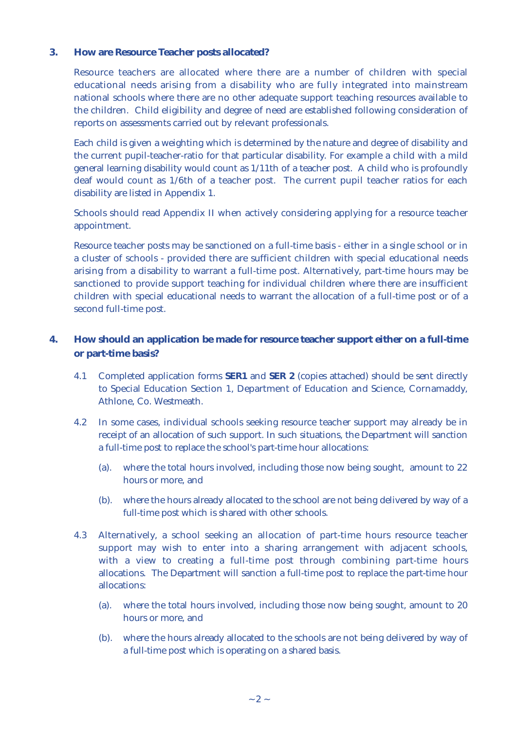#### **3. How are Resource Teacher posts allocated?**

Resource teachers are allocated where there are a number of children with special educational needs arising from a disability who are fully integrated into mainstream national schools where there are no other adequate support teaching resources available to the children. Child eligibility and degree of need are established following consideration of reports on assessments carried out by relevant professionals.

Each child is given a weighting which is determined by the nature and degree of disability and the current pupil-teacher-ratio for that particular disability. For example a child with a mild general learning disability would count as 1/11th of a teacher post. A child who is profoundly deaf would count as 1/6th of a teacher post. The current pupil teacher ratios for each disability are listed in Appendix 1.

Schools should read Appendix II when actively considering applying for a resource teacher appointment.

Resource teacher posts may be sanctioned on a full-time basis - either in a single school or in a cluster of schools - provided there are sufficient children with special educational needs arising from a disability to warrant a full-time post. Alternatively, part-time hours may be sanctioned to provide support teaching for individual children where there are insufficient children with special educational needs to warrant the allocation of a full-time post or of a second full-time post.

### **4. How should an application be made for resource teacher support either on a full-time or part-time basis?**

- 4.1 Completed application forms **SER1** and **SER 2** (copies attached) should be sent directly to Special Education Section 1, Department of Education and Science, Cornamaddy, Athlone, Co. Westmeath.
- 4.2 In some cases, individual [schools se](www.education.ie/servlet/blobservlet/spedform_SER1.pdf)eki[ng resource](www.education.ie/servlet/blobservlet/spedform_SER2.pdf) teacher support may already be in receipt of an allocation of such support. In such situations, the Department will sanction a full-time post to replace the school's part-time hour allocations:
	- (a). where the total hours involved, including those now being sought, amount to 22 hours or more, and
	- (b). where the hours already allocated to the school are not being delivered by way of a full-time post which is shared with other schools.
- 4.3 Alternatively, a school seeking an allocation of part-time hours resource teacher support may wish to enter into a sharing arrangement with adjacent schools, with a view to creating a full-time post through combining part-time hours allocations. The Department will sanction a full-time post to replace the part-time hour allocations:
	- (a). where the total hours involved, including those now being sought, amount to 20 hours or more, and
	- (b). where the hours already allocated to the schools are not being delivered by way of a full-time post which is operating on a shared basis.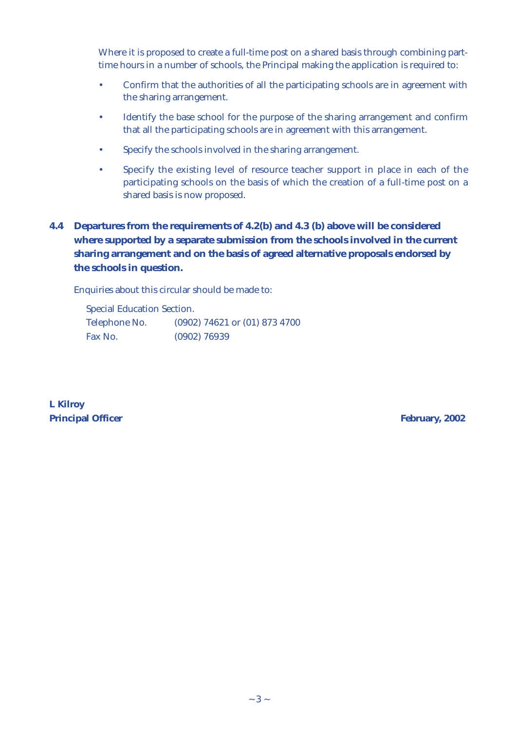Where it is proposed to create a full-time post on a shared basis through combining parttime hours in a number of schools, the Principal making the application is required to:

- Confirm that the authorities of all the participating schools are in agreement with the sharing arrangement.
- Identify the base school for the purpose of the sharing arrangement and confirm that all the participating schools are in agreement with this arrangement.
- Specify the schools involved in the sharing arrangement.
- Specify the existing level of resource teacher support in place in each of the participating schools on the basis of which the creation of a full-time post on a shared basis is now proposed.

### **4.4 Departures from the requirements of 4.2(b) and 4.3 (b) above will be considered where supported by a separate submission from the schools involved in the current sharing arrangement and on the basis of agreed alternative proposals endorsed by the schools in question.**

Enquiries about this circular should be made to:

Special Education Section. Telephone No. (0902) 74621 or (01) 873 4700 Fax No. (0902) 76939

**L Kilroy Principal Officer February, 2002**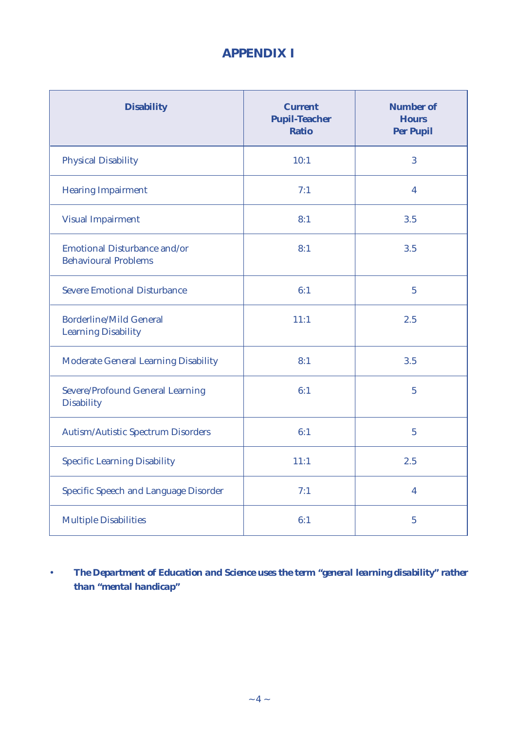## **APPENDIX I**

| <b>Disability</b>                                                  | <b>Current</b><br><b>Pupil-Teacher</b><br><b>Ratio</b> | <b>Number of</b><br><b>Hours</b><br><b>Per Pupil</b> |
|--------------------------------------------------------------------|--------------------------------------------------------|------------------------------------------------------|
| <b>Physical Disability</b>                                         | 10:1                                                   | 3                                                    |
| <b>Hearing Impairment</b>                                          | 7:1                                                    | $\overline{\mathbf{4}}$                              |
| <b>Visual Impairment</b>                                           | 8:1                                                    | 3.5                                                  |
| <b>Emotional Disturbance and/or</b><br><b>Behavioural Problems</b> | 8:1                                                    | 3.5                                                  |
| <b>Severe Emotional Disturbance</b>                                | 6:1                                                    | $\overline{5}$                                       |
| <b>Borderline/Mild General</b><br><b>Learning Disability</b>       | 11:1                                                   | 2.5                                                  |
| <b>Moderate General Learning Disability</b>                        | 8:1                                                    | 3.5                                                  |
| <b>Severe/Profound General Learning</b><br><b>Disability</b>       | 6:1                                                    | $\overline{5}$                                       |
| <b>Autism/Autistic Spectrum Disorders</b>                          | 6:1                                                    | $\overline{5}$                                       |
| <b>Specific Learning Disability</b>                                | 11:1                                                   | 2.5                                                  |
| <b>Specific Speech and Language Disorder</b>                       | 7:1                                                    | $\overline{\mathbf{4}}$                              |
| <b>Multiple Disabilities</b>                                       | 6:1                                                    | $\overline{5}$                                       |

• *The Department of Education and Science uses the term "general learning disability" rather than "mental handicap"*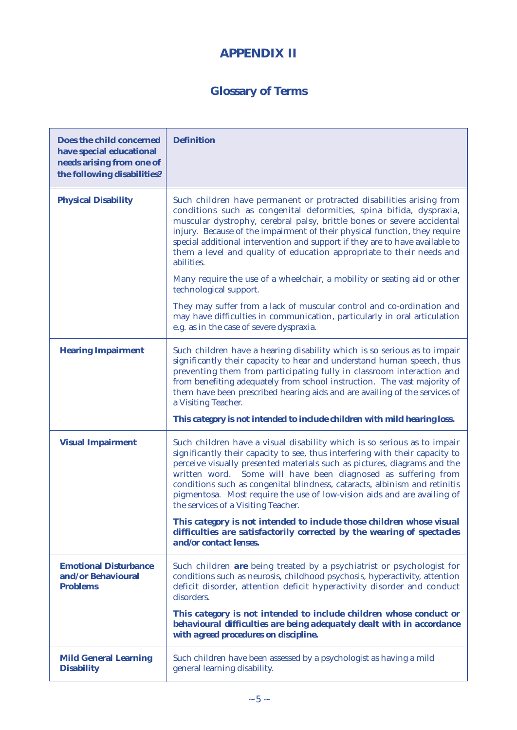## **APPENDIX II**

## **Glossary of Terms**

| Does the child concerned<br>have special educational<br>needs arising from one of<br>the following disabilities? | <b>Definition</b>                                                                                                                                                                                                                                                                                                                                                                                                                                                                                                                                                            |
|------------------------------------------------------------------------------------------------------------------|------------------------------------------------------------------------------------------------------------------------------------------------------------------------------------------------------------------------------------------------------------------------------------------------------------------------------------------------------------------------------------------------------------------------------------------------------------------------------------------------------------------------------------------------------------------------------|
| <b>Physical Disability</b>                                                                                       | Such children have permanent or protracted disabilities arising from<br>conditions such as congenital deformities, spina bifida, dyspraxia,<br>muscular dystrophy, cerebral palsy, brittle bones or severe accidental<br>injury. Because of the impairment of their physical function, they require<br>special additional intervention and support if they are to have available to<br>them a level and quality of education appropriate to their needs and<br>abilities.                                                                                                    |
|                                                                                                                  | Many require the use of a wheelchair, a mobility or seating aid or other<br>technological support.                                                                                                                                                                                                                                                                                                                                                                                                                                                                           |
|                                                                                                                  | They may suffer from a lack of muscular control and co-ordination and<br>may have difficulties in communication, particularly in oral articulation<br>e.g. as in the case of severe dyspraxia.                                                                                                                                                                                                                                                                                                                                                                               |
| <b>Hearing Impairment</b>                                                                                        | Such children have a hearing disability which is so serious as to impair<br>significantly their capacity to hear and understand human speech, thus<br>preventing them from participating fully in classroom interaction and<br>from benefiting adequately from school instruction. The vast majority of<br>them have been prescribed hearing aids and are availing of the services of<br>a Visiting Teacher.                                                                                                                                                                 |
|                                                                                                                  | This category is not intended to include children with mild hearing loss.                                                                                                                                                                                                                                                                                                                                                                                                                                                                                                    |
| <b>Visual Impairment</b>                                                                                         | Such children have a visual disability which is so serious as to impair<br>significantly their capacity to see, thus interfering with their capacity to<br>perceive visually presented materials such as pictures, diagrams and the<br>written word. Some will have been diagnosed as suffering from<br>conditions such as congenital blindness, cataracts, albinism and retinitis<br>pigmentosa. Most require the use of low-vision aids and are availing of<br>the services of a Visiting Teacher.<br>This category is not intended to include those children whose visual |
|                                                                                                                  | difficulties are satisfactorily corrected by the wearing of spectacles<br>and/or contact lenses.                                                                                                                                                                                                                                                                                                                                                                                                                                                                             |
| <b>Emotional Disturbance</b><br>and/or Behavioural<br><b>Problems</b>                                            | Such children are being treated by a psychiatrist or psychologist for<br>conditions such as neurosis, childhood psychosis, hyperactivity, attention<br>deficit disorder, attention deficit hyperactivity disorder and conduct<br>disorders.                                                                                                                                                                                                                                                                                                                                  |
|                                                                                                                  | This category is not intended to include children whose conduct or<br>behavioural difficulties are being adequately dealt with in accordance<br>with agreed procedures on discipline.                                                                                                                                                                                                                                                                                                                                                                                        |
| <b>Mild General Learning</b><br><b>Disability</b>                                                                | Such children have been assessed by a psychologist as having a mild<br>general learning disability.                                                                                                                                                                                                                                                                                                                                                                                                                                                                          |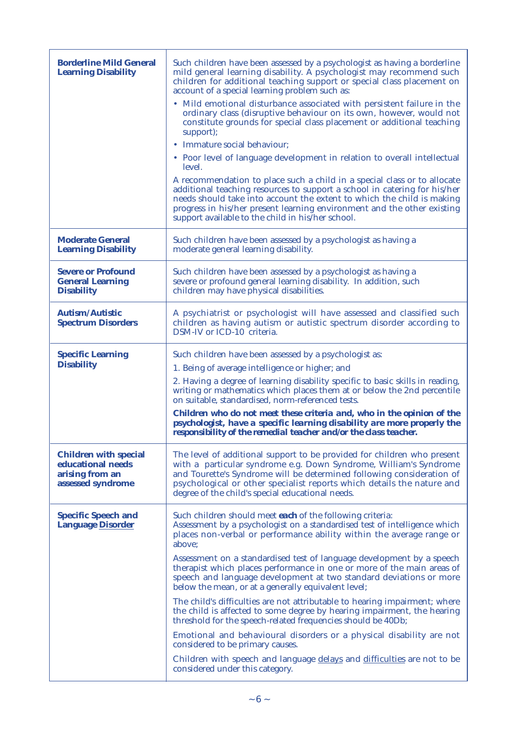| Such children have been assessed by a psychologist as having a borderline<br>mild general learning disability. A psychologist may recommend such<br>children for additional teaching support or special class placement on<br>account of a special learning problem such as:<br>• Mild emotional disturbance associated with persistent failure in the<br>ordinary class (disruptive behaviour on its own, however, would not<br>constitute grounds for special class placement or additional teaching<br>support);<br>Immature social behaviour;<br>• Poor level of language development in relation to overall intellectual<br>level.<br>A recommendation to place such a child in a special class or to allocate<br>additional teaching resources to support a school in catering for his/her<br>needs should take into account the extent to which the child is making<br>progress in his/her present learning environment and the other existing<br>support available to the child in his/her school. |
|------------------------------------------------------------------------------------------------------------------------------------------------------------------------------------------------------------------------------------------------------------------------------------------------------------------------------------------------------------------------------------------------------------------------------------------------------------------------------------------------------------------------------------------------------------------------------------------------------------------------------------------------------------------------------------------------------------------------------------------------------------------------------------------------------------------------------------------------------------------------------------------------------------------------------------------------------------------------------------------------------------|
| Such children have been assessed by a psychologist as having a<br>moderate general learning disability.                                                                                                                                                                                                                                                                                                                                                                                                                                                                                                                                                                                                                                                                                                                                                                                                                                                                                                    |
| Such children have been assessed by a psychologist as having a<br>severe or profound general learning disability. In addition, such<br>children may have physical disabilities.                                                                                                                                                                                                                                                                                                                                                                                                                                                                                                                                                                                                                                                                                                                                                                                                                            |
| A psychiatrist or psychologist will have assessed and classified such<br>children as having autism or autistic spectrum disorder according to<br>DSM-IV or ICD-10 criteria.                                                                                                                                                                                                                                                                                                                                                                                                                                                                                                                                                                                                                                                                                                                                                                                                                                |
| Such children have been assessed by a psychologist as:<br>1. Being of average intelligence or higher; and<br>2. Having a degree of learning disability specific to basic skills in reading,<br>writing or mathematics which places them at or below the 2nd percentile<br>on suitable, standardised, norm-referenced tests.<br>Children who do not meet these criteria and, who in the opinion of the<br>psychologist, have a specific learning disability are more properly the<br>responsibility of the remedial teacher and/or the class teacher.                                                                                                                                                                                                                                                                                                                                                                                                                                                       |
| The level of additional support to be provided for children who present<br>with a particular syndrome e.g. Down Syndrome, William's Syndrome<br>and Tourette's Syndrome will be determined following consideration of<br>psychological or other specialist reports which details the nature and<br>degree of the child's special educational needs.                                                                                                                                                                                                                                                                                                                                                                                                                                                                                                                                                                                                                                                        |
| Such children should meet each of the following criteria:<br>Assessment by a psychologist on a standardised test of intelligence which<br>places non-verbal or performance ability within the average range or<br>above;<br>Assessment on a standardised test of language development by a speech<br>therapist which places performance in one or more of the main areas of<br>speech and language development at two standard deviations or more                                                                                                                                                                                                                                                                                                                                                                                                                                                                                                                                                          |
|                                                                                                                                                                                                                                                                                                                                                                                                                                                                                                                                                                                                                                                                                                                                                                                                                                                                                                                                                                                                            |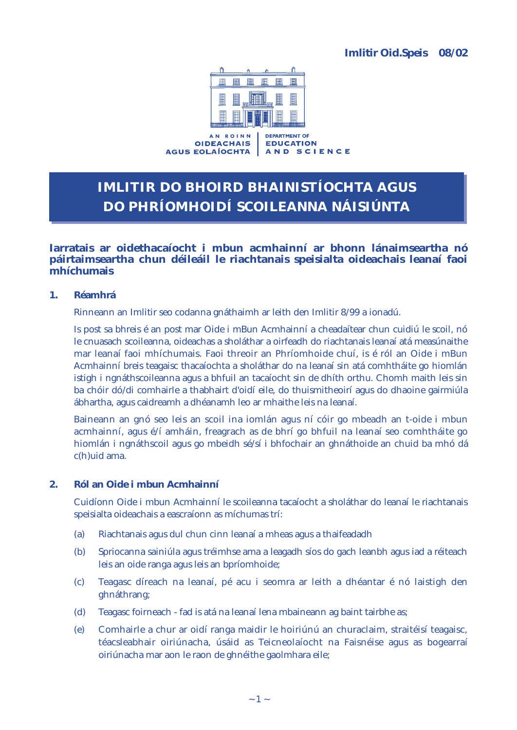

**OIDEACHAIS AGUS EOLAÍOCHTA** 

**EDUCATION** AND SCIENCE

# **IMLITIR DO BHOIRD BHAINISTÍOCHTA AGUS DO PHRÍOMHOIDÍ SCOILEANNA NÁISIÚNTA**

### **Iarratais ar oidethacaíocht i mbun acmhainní ar bhonn lánaimseartha nó páirtaimseartha chun déileáil le riachtanais speisialta oideachais leanaí faoi mhíchumais**

### **1. Réamhrá**

Rinneann an Imlitir seo codanna gnáthaimh ar leith den Imlitir 8/99 a ionadú.

Is post sa bhreis é an post mar Oide i mBun Acmhainní a cheadaítear chun cuidiú le scoil, nó le cnuasach scoileanna, oideachas a sholáthar a oirfeadh do riachtanais leanaí atá measúnaithe mar leanaí faoi mhíchumais. Faoi threoir an Phríomhoide chuí, is é ról an Oide i mBun Acmhainní breis teagaisc thacaíochta a sholáthar do na leanaí sin atá comhtháite go hiomlán istigh i ngnáthscoileanna agus a bhfuil an tacaíocht sin de dhíth orthu. Chomh maith leis sin ba chóir dó/di comhairle a thabhairt d'oidí eile, do thuismitheoirí agus do dhaoine gairmiúla ábhartha, agus caidreamh a dhéanamh leo ar mhaithe leis na leanaí.

Baineann an gnó seo leis an scoil ina iomlán agus ní cóir go mbeadh an t-oide i mbun acmhainní, agus é/í amháin, freagrach as de bhrí go bhfuil na leanaí seo comhtháite go hiomlán i ngnáthscoil agus go mbeidh sé/sí i bhfochair an ghnáthoide an chuid ba mhó dá c(h)uid ama.

#### **2. Ról an Oide i mbun Acmhainní**

Cuidíonn Oide i mbun Acmhainní le scoileanna tacaíocht a sholáthar do leanaí le riachtanais speisialta oideachais a eascraíonn as míchumas trí:

- (a) Riachtanais agus dul chun cinn leanaí a mheas agus a thaifeadadh
- (b) Spriocanna sainiúla agus tréimhse ama a leagadh síos do gach leanbh agus iad a réiteach leis an oide ranga agus leis an bpríomhoide;
- (c) Teagasc díreach na leanaí, pé acu i seomra ar leith a dhéantar é nó laistigh den ghnáthrang;
- (d) Teagasc foirneach fad is atá na leanaí lena mbaineann ag baint tairbhe as;
- (e) Comhairle a chur ar oidí ranga maidir le hoiriúnú an churaclaim, straitéisí teagaisc, téacsleabhair oiriúnacha, úsáid as Teicneolaíocht na Faisnéise agus as bogearraí oiriúnacha mar aon le raon de ghnéithe gaolmhara eile;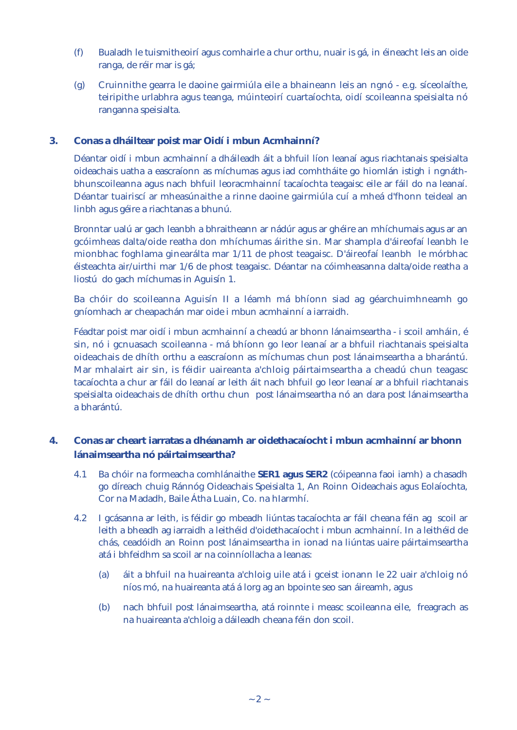- (f) Bualadh le tuismitheoirí agus comhairle a chur orthu, nuair is gá, in éineacht leis an oide ranga, de réir mar is gá;
- (g) Cruinnithe gearra le daoine gairmiúla eile a bhaineann leis an ngnó e.g. síceolaíthe, teiripithe urlabhra agus teanga, múinteoirí cuartaíochta, oidí scoileanna speisialta nó ranganna speisialta.

### **3. Conas a dháiltear poist mar Oidí i mbun Acmhainní?**

Déantar oidí i mbun acmhainní a dháileadh áit a bhfuil líon leanaí agus riachtanais speisialta oideachais uatha a eascraíonn as míchumas agus iad comhtháite go hiomlán istigh i ngnáthbhunscoileanna agus nach bhfuil leoracmhainní tacaíochta teagaisc eile ar fáil do na leanaí. Déantar tuairiscí ar mheasúnaithe a rinne daoine gairmiúla cuí a mheá d'fhonn teideal an linbh agus géire a riachtanas a bhunú.

Bronntar ualú ar gach leanbh a bhraitheann ar nádúr agus ar ghéire an mhíchumais agus ar an gcóimheas dalta/oide reatha don mhíchumas áirithe sin. Mar shampla d'áireofaí leanbh le mionbhac foghlama ginearálta mar 1/11 de phost teagaisc. D'áireofaí leanbh le mórbhac éisteachta air/uirthi mar 1/6 de phost teagaisc. Déantar na cóimheasanna dalta/oide reatha a liostú do gach míchumas in Aguisín 1.

Ba chóir do scoileanna Aguisín II a léamh má bhíonn siad ag géarchuimhneamh go gníomhach ar cheapachán mar oide i mbun acmhainní a iarraidh.

Féadtar poist mar oidí i mbun acmhainní a cheadú ar bhonn lánaimseartha - i scoil amháin, é sin, nó i gcnuasach scoileanna - má bhíonn go leor leanaí ar a bhfuil riachtanais speisialta oideachais de dhíth orthu a eascraíonn as míchumas chun post lánaimseartha a bharántú. Mar mhalairt air sin, is féidir uaireanta a'chloig páirtaimseartha a cheadú chun teagasc tacaíochta a chur ar fáil do leanaí ar leith áit nach bhfuil go leor leanaí ar a bhfuil riachtanais speisialta oideachais de dhíth orthu chun post lánaimseartha nó an dara post lánaimseartha a bharántú.

### **4. Conas ar cheart iarratas a dhéanamh ar oidethacaíocht i mbun acmhainní ar bhonn lánaimseartha nó páirtaimseartha?**

- 4.1 Ba chóir na formeacha comhlánaithe **SER1 agus SER2** (cóipeanna faoi iamh) a chasadh go díreach chuig Ránnóg Oideachais Speisialta 1, An Roinn Oideachais agus Eolaíochta, Cor na Madadh, Baile Átha Luain, Co. na hIarmhí.
- 4.2 I gcásanna ar leith, is féidir go mbeadh liúntas tacaíochta ar fáil cheana féin ag scoil ar leith a bheadh ag iarraidh a leithéid d'oidethacaíocht i mbun acmhainní. In a leithéid de chás, ceadóidh an Roinn post lánaimseartha in ionad na liúntas uaire páirtaimseartha atá i bhfeidhm sa scoil ar na coinníollacha a leanas:
	- (a) áit a bhfuil na huaireanta a'chloig uile atá i gceist ionann le 22 uair a'chloig nó níos mó, na huaireanta atá á lorg ag an bpointe seo san áireamh, agus
	- (b) nach bhfuil post lánaimseartha, atá roinnte i measc scoileanna eile, freagrach as na huaireanta a'chloig a dáileadh cheana féin don scoil.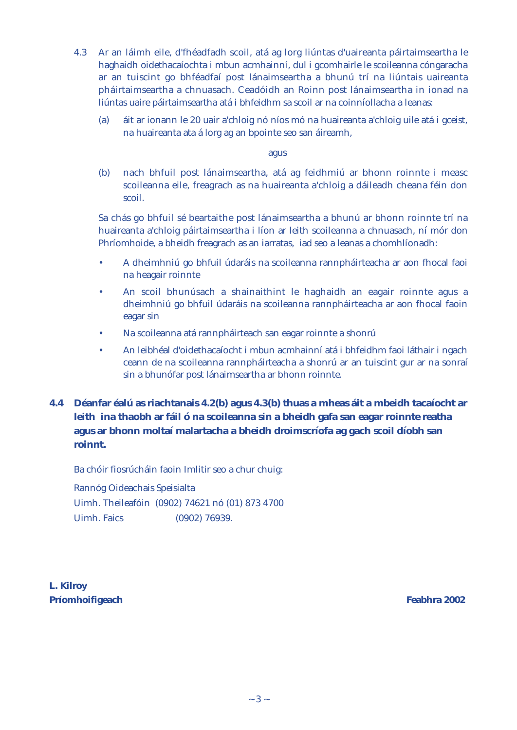- 4.3 Ar an láimh eile, d'fhéadfadh scoil, atá ag lorg liúntas d'uaireanta páirtaimseartha le haghaidh oidethacaíochta i mbun acmhainní, dul i gcomhairle le scoileanna cóngaracha ar an tuiscint go bhféadfaí post lánaimseartha a bhunú trí na liúntais uaireanta pháirtaimseartha a chnuasach. Ceadóidh an Roinn post lánaimseartha in ionad na liúntas uaire páirtaimseartha atá i bhfeidhm sa scoil ar na coinníollacha a leanas:
	- (a) áit ar ionann le 20 uair a'chloig nó níos mó na huaireanta a'chloig uile atá i gceist, na huaireanta ata á lorg ag an bpointe seo san áireamh,

agus

(b) nach bhfuil post lánaimseartha, atá ag feidhmiú ar bhonn roinnte i measc scoileanna eile, freagrach as na huaireanta a'chloig a dáileadh cheana féin don scoil.

Sa chás go bhfuil sé beartaithe post lánaimseartha a bhunú ar bhonn roinnte trí na huaireanta a'chloig páirtaimseartha i líon ar leith scoileanna a chnuasach, ní mór don Phríomhoide, a bheidh freagrach as an iarratas, iad seo a leanas a chomhlíonadh:

- A dheimhniú go bhfuil údaráis na scoileanna rannpháirteacha ar aon fhocal faoi na heagair roinnte
- An scoil bhunúsach a shainaithint le haghaidh an eagair roinnte agus a dheimhniú go bhfuil údaráis na scoileanna rannpháirteacha ar aon fhocal faoin eagar sin
- Na scoileanna atá rannpháirteach san eagar roinnte a shonrú
- An leibhéal d'oidethacaíocht i mbun acmhainní atá i bhfeidhm faoi láthair i ngach ceann de na scoileanna rannpháirteacha a shonrú ar an tuiscint gur ar na sonraí sin a bhunófar post lánaimseartha ar bhonn roinnte.
- **4.4 Déanfar éalú as riachtanais 4.2(b) agus 4.3(b) thuas a mheas áit a mbeidh tacaíocht ar leith ina thaobh ar fáil ó na scoileanna sin a bheidh gafa san eagar roinnte reatha agus ar bhonn moltaí malartacha a bheidh droimscríofa ag gach scoil díobh san roinnt.**

Ba chóir fiosrúcháin faoin Imlitir seo a chur chuig:

Rannóg Oideachais Speisialta Uimh. Theileafóin (0902) 74621 nó (01) 873 4700 Uimh. Faics (0902) 76939.

**L. Kilroy Príomhoifigeach Feabhra 2002**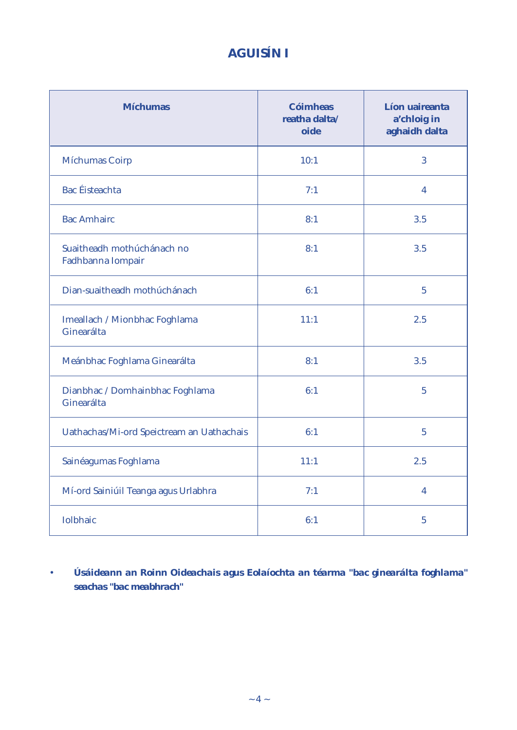# **AGUISÍN I**

| <b>Míchumas</b>                                 | <b>Cóimheas</b><br>reatha dalta/<br>oide | Líon uaireanta<br>a'chloig in<br>aghaidh dalta |
|-------------------------------------------------|------------------------------------------|------------------------------------------------|
| <b>Míchumas Coirp</b>                           | 10:1                                     | 3                                              |
| <b>Bac</b> Éisteachta                           | 7:1                                      | 4                                              |
| <b>Bac Amhairc</b>                              | 8:1                                      | 3.5                                            |
| Suaitheadh mothúchánach no<br>Fadhbanna Iompair | 8:1                                      | 3.5                                            |
| Dian-suaitheadh mothúchánach                    | 6:1                                      | $5\overline{)}$                                |
| Imeallach / Mionbhac Foghlama<br>Ginearálta     | 11:1                                     | 2.5                                            |
| Meánbhac Foghlama Ginearálta                    | 8:1                                      | 3.5                                            |
| Dianbhac / Domhainbhac Foghlama<br>Ginearálta   | 6:1                                      | $\overline{5}$                                 |
| Uathachas/Mi-ord Speictream an Uathachais       | 6:1                                      | $\overline{5}$                                 |
| Sainéagumas Foghlama                            | 11:1                                     | 2.5                                            |
| Mí-ord Sainiúil Teanga agus Urlabhra            | 7:1                                      | $\overline{4}$                                 |
| <b>Iolbhaic</b>                                 | 6:1                                      | $\overline{5}$                                 |

• *Úsáideann an Roinn Oideachais agus Eolaíochta an téarma "bac ginearálta foghlama" seachas "bac meabhrach"*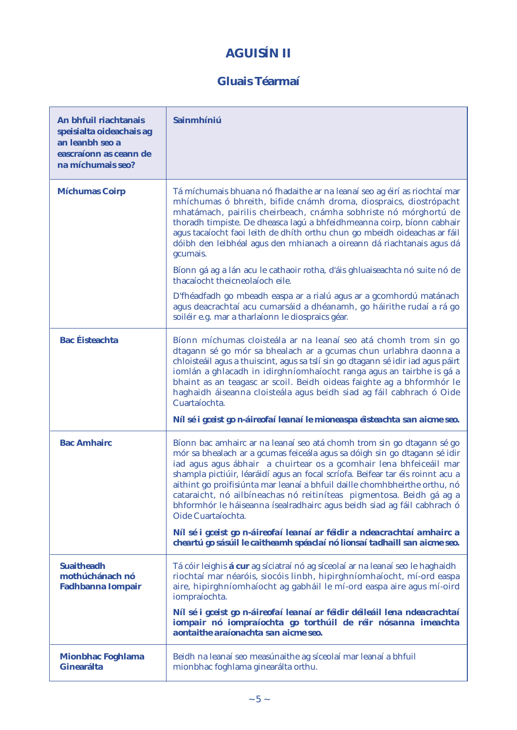# **AGUISÍN II**

### **Gluais Téarmaí**

| An bhfuil riachtanais<br>speisialta oideachais ag<br>an leanbh seo a<br>eascraíonn as ceann de<br>na míchumais seo? | Sainmhíniú                                                                                                                                                                                                                                                                                                                                                                                                                                                                                                                                                         |
|---------------------------------------------------------------------------------------------------------------------|--------------------------------------------------------------------------------------------------------------------------------------------------------------------------------------------------------------------------------------------------------------------------------------------------------------------------------------------------------------------------------------------------------------------------------------------------------------------------------------------------------------------------------------------------------------------|
| <b>Míchumas Coirp</b>                                                                                               | Tá míchumais bhuana nó fhadaithe ar na leanaí seo ag éirí as riochtaí mar<br>mhíchumas ó bhreith, bifide cnámh droma, diospraics, diostrópacht<br>mhatámach, pairilis cheirbeach, cnámha sobhriste nó mórghortú de<br>thoradh timpiste. De dheasca lagú a bhfeidhmeanna coirp, bíonn cabhair<br>agus tacaíocht faoi leith de dhíth orthu chun go mbeidh oideachas ar fáil<br>dóibh den leibhéal agus den mhianach a oireann dá riachtanais agus dá<br>gcumais.                                                                                                     |
|                                                                                                                     | Bíonn gá ag a lán acu le cathaoir rotha, d'áis ghluaiseachta nó suite nó de<br>thacaíocht theicneolaíoch eile.                                                                                                                                                                                                                                                                                                                                                                                                                                                     |
|                                                                                                                     | D'fhéadfadh go mbeadh easpa ar a rialú agus ar a gcomhordú matánach<br>agus deacrachtaí acu cumarsáid a dhéanamh, go háirithe rudaí a rá go<br>soiléir e.g. mar a tharlaíonn le diospraics géar.                                                                                                                                                                                                                                                                                                                                                                   |
| <b>Bac</b> Éisteachta                                                                                               | Bíonn míchumas cloisteála ar na leanaí seo atá chomh trom sin go<br>dtagann sé go mór sa bhealach ar a gcumas chun urlabhra daonna a<br>chloisteáil agus a thuiscint, agus sa tslí sin go dtagann sé idir iad agus páirt<br>iomlán a ghlacadh in idirghníomhaíocht ranga agus an tairbhe is gá a<br>bhaint as an teagasc ar scoil. Beidh oideas faighte ag a bhformhór le<br>haghaidh áiseanna cloisteála agus beidh siad ag fáil cabhrach ó Oide<br>Cuartaíochta.                                                                                                 |
|                                                                                                                     | Níl sé i gceist go n-áireofaí leanaí le mioneaspa éisteachta san aicme seo.                                                                                                                                                                                                                                                                                                                                                                                                                                                                                        |
| <b>Bac Amhairc</b>                                                                                                  | Bíonn bac amhairc ar na leanaí seo atá chomh trom sin go dtagann sé go<br>mór sa bhealach ar a gcumas feiceála agus sa dóigh sin go dtagann sé idir<br>iad agus agus ábhair a chuirtear os a gcomhair lena bhfeiceáil mar<br>shampla pictiúir, léaráidí agus an focal scríofa. Beifear tar éis roinnt acu a<br>aithint go proifisiúnta mar leanaí a bhfuil daille chomhbheirthe orthu, nó<br>cataraicht, nó ailbíneachas nó reitiníteas pigmentosa. Beidh gá ag a<br>bhformhór le háiseanna ísealradhairc agus beidh siad ag fáil cabhrach ó<br>Oide Cuartaíochta. |
|                                                                                                                     | Níl sé i gceist go n-áireofaí leanaí ar féidir a ndeacrachtaí amhairc a<br>cheartú go sásúil le caitheamh spéaclaí nó lionsaí tadhaill san aicme seo.                                                                                                                                                                                                                                                                                                                                                                                                              |
| <b>Suaitheadh</b><br>mothúchánach nó<br><b>Fadhbanna Iompair</b>                                                    | Tá cóir leighis <b>á cur</b> ag síciatraí nó ag síceolaí ar na leanaí seo le haghaidh<br>riochtaí mar néaróis, siocóis linbh, hipirghníomhaíocht, mí-ord easpa<br>aire, hipirghníomhaíocht ag gabháil le mí-ord easpa aire agus mí-oird<br>iompraíochta.                                                                                                                                                                                                                                                                                                           |
|                                                                                                                     | Níl sé i gceist go n-áireofaí leanaí ar féidir déileáil lena ndeacrachtaí<br>iompair nó iompraíochta go torthúil de réir nósanna imeachta<br>aontaithe araíonachta san aicme seo.                                                                                                                                                                                                                                                                                                                                                                                  |
| <b>Mionbhac Foghlama</b><br><b>Ginearálta</b>                                                                       | Beidh na leanaí seo measúnaithe ag síceolaí mar leanaí a bhfuil<br>mionbhac foghlama ginearálta orthu.                                                                                                                                                                                                                                                                                                                                                                                                                                                             |